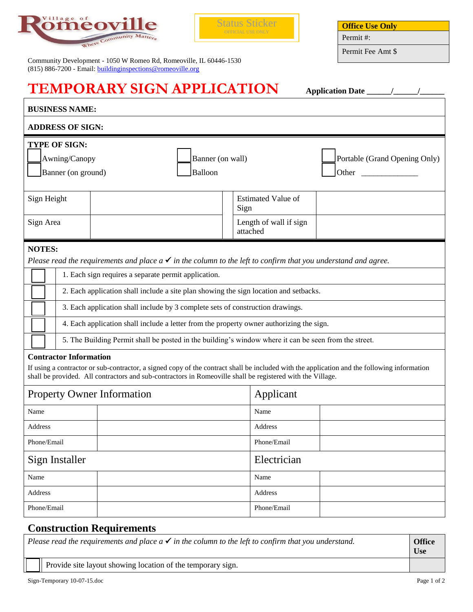



| Community Development - 1050 W Romeo Rd, Romeoville, IL 60446-1530 |  |
|--------------------------------------------------------------------|--|
| $(815)$ 886-7200 - Email: building inspections @ romeoville.org    |  |

| <b>Office Use Only</b> |  |
|------------------------|--|
| Permit #:              |  |

Permit Fee Amt \$

| <b>TEMPORARY SIGN APPLICATION</b>                                                                                                                                                                                                                                                                                                                                  |                                                                                                                                                                                                                                                           |                                    |  |  |  |
|--------------------------------------------------------------------------------------------------------------------------------------------------------------------------------------------------------------------------------------------------------------------------------------------------------------------------------------------------------------------|-----------------------------------------------------------------------------------------------------------------------------------------------------------------------------------------------------------------------------------------------------------|------------------------------------|--|--|--|
| <b>BUSINESS NAME:</b>                                                                                                                                                                                                                                                                                                                                              |                                                                                                                                                                                                                                                           |                                    |  |  |  |
| <b>ADDRESS OF SIGN:</b>                                                                                                                                                                                                                                                                                                                                            |                                                                                                                                                                                                                                                           |                                    |  |  |  |
| <b>TYPE OF SIGN:</b><br>Portable (Grand Opening Only)<br>Awning/Canopy<br>Banner (on wall)<br>Banner (on ground)<br>Balloon<br><b>Other</b> control of the control of the control of the control of the control of the control of the control of the control of the control of the control of the control of the control of the control of the control of the cont |                                                                                                                                                                                                                                                           |                                    |  |  |  |
| Sign Height                                                                                                                                                                                                                                                                                                                                                        |                                                                                                                                                                                                                                                           | <b>Estimated Value of</b><br>Sign  |  |  |  |
| Sign Area                                                                                                                                                                                                                                                                                                                                                          |                                                                                                                                                                                                                                                           | Length of wall if sign<br>attached |  |  |  |
| <b>NOTES:</b>                                                                                                                                                                                                                                                                                                                                                      | Please read the requirements and place $a \checkmark$ in the column to the left to confirm that you understand and agree.                                                                                                                                 |                                    |  |  |  |
|                                                                                                                                                                                                                                                                                                                                                                    | 1. Each sign requires a separate permit application.                                                                                                                                                                                                      |                                    |  |  |  |
|                                                                                                                                                                                                                                                                                                                                                                    | 2. Each application shall include a site plan showing the sign location and setbacks.                                                                                                                                                                     |                                    |  |  |  |
|                                                                                                                                                                                                                                                                                                                                                                    | 3. Each application shall include by 3 complete sets of construction drawings.                                                                                                                                                                            |                                    |  |  |  |
|                                                                                                                                                                                                                                                                                                                                                                    | 4. Each application shall include a letter from the property owner authorizing the sign.                                                                                                                                                                  |                                    |  |  |  |
|                                                                                                                                                                                                                                                                                                                                                                    | 5. The Building Permit shall be posted in the building's window where it can be seen from the street.                                                                                                                                                     |                                    |  |  |  |
| <b>Contractor Information</b>                                                                                                                                                                                                                                                                                                                                      | If using a contractor or sub-contractor, a signed copy of the contract shall be included with the application and the following information<br>shall be provided. All contractors and sub-contractors in Romeoville shall be registered with the Village. |                                    |  |  |  |
| <b>Property Owner Information</b>                                                                                                                                                                                                                                                                                                                                  |                                                                                                                                                                                                                                                           | Applicant                          |  |  |  |
| Name                                                                                                                                                                                                                                                                                                                                                               |                                                                                                                                                                                                                                                           | Name                               |  |  |  |
| Address                                                                                                                                                                                                                                                                                                                                                            |                                                                                                                                                                                                                                                           | Address                            |  |  |  |
| Phone/Email                                                                                                                                                                                                                                                                                                                                                        | Phone/Email                                                                                                                                                                                                                                               |                                    |  |  |  |
| Electrician<br>Sign Installer                                                                                                                                                                                                                                                                                                                                      |                                                                                                                                                                                                                                                           |                                    |  |  |  |
| Name                                                                                                                                                                                                                                                                                                                                                               |                                                                                                                                                                                                                                                           | Name                               |  |  |  |
| Address                                                                                                                                                                                                                                                                                                                                                            |                                                                                                                                                                                                                                                           | Address                            |  |  |  |
| Phone/Email                                                                                                                                                                                                                                                                                                                                                        |                                                                                                                                                                                                                                                           | Phone/Email                        |  |  |  |

## **Construction Requirements**

*Please read the requirements and place*  $a \checkmark$  *in the column to the left to confirm that you understand.*  $\Box$  **Office Use**

Provide site layout showing location of the temporary sign.